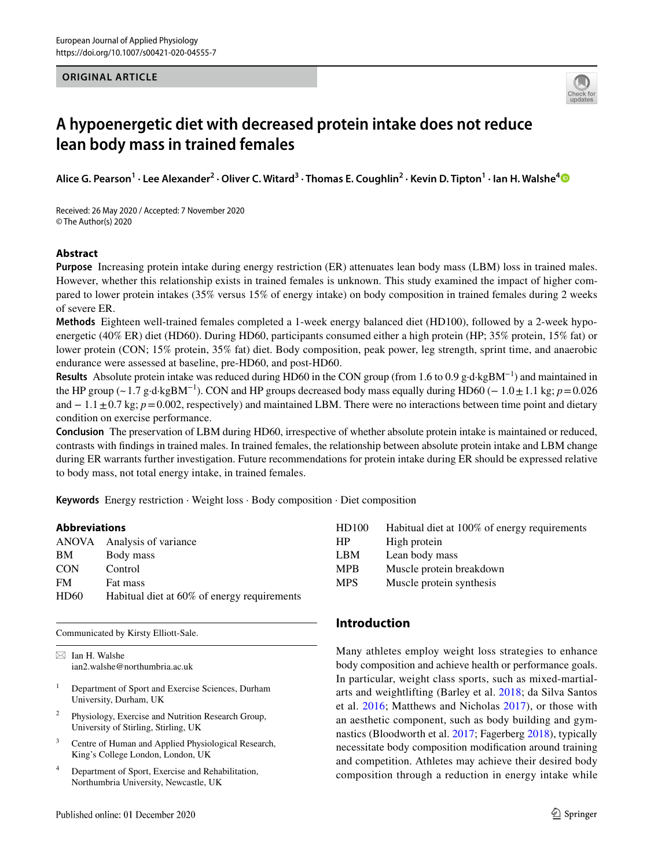## **ORIGINAL ARTICLE**



# **A hypoenergetic diet with decreased protein intake does not reduce lean body mass in trained females**

**Alice G. Pearson1 · Lee Alexander2 · Oliver C. Witard3 · Thomas E. Coughlin2 · Kevin D. Tipton1 · Ian H. Walshe[4](http://orcid.org/0000-0002-6001-7854)**

Received: 26 May 2020 / Accepted: 7 November 2020 © The Author(s) 2020

## **Abstract**

**Purpose** Increasing protein intake during energy restriction (ER) attenuates lean body mass (LBM) loss in trained males. However, whether this relationship exists in trained females is unknown. This study examined the impact of higher compared to lower protein intakes (35% versus 15% of energy intake) on body composition in trained females during 2 weeks of severe ER.

**Methods** Eighteen well-trained females completed a 1-week energy balanced diet (HD100), followed by a 2-week hypoenergetic (40% ER) diet (HD60). During HD60, participants consumed either a high protein (HP; 35% protein, 15% fat) or lower protein (CON; 15% protein, 35% fat) diet. Body composition, peak power, leg strength, sprint time, and anaerobic endurance were assessed at baseline, pre-HD60, and post-HD60.

**Results** Absolute protein intake was reduced during HD60 in the CON group (from 1.6 to 0.9 g·d·kgBM−1) and maintained in the HP group (~1.7 g·d·kgBM<sup>-1</sup>). CON and HP groups decreased body mass equally during HD60 (− 1.0  $\pm$ 1.1 kg; *p*=0.026 and − 1.1 ± 0.7 kg; *p* = 0.002, respectively) and maintained LBM. There were no interactions between time point and dietary condition on exercise performance.

**Conclusion** The preservation of LBM during HD60, irrespective of whether absolute protein intake is maintained or reduced, contrasts with fndings in trained males. In trained females, the relationship between absolute protein intake and LBM change during ER warrants further investigation. Future recommendations for protein intake during ER should be expressed relative to body mass, not total energy intake, in trained females.

**Keywords** Energy restriction · Weight loss · Body composition · Diet composition

### **Abbreviations**

| ANOVA Analysis of variance                  |
|---------------------------------------------|
| Body mass                                   |
| Control                                     |
| Fat mass                                    |
| Habitual diet at 60% of energy requirements |
|                                             |

Communicated by Kirsty Elliott-Sale.

 $\boxtimes$  Ian H. Walshe ian2.walshe@northumbria.ac.uk

- <sup>1</sup> Department of Sport and Exercise Sciences, Durham University, Durham, UK
- <sup>2</sup> Physiology, Exercise and Nutrition Research Group, University of Stirling, Stirling, UK
- <sup>3</sup> Centre of Human and Applied Physiological Research, King's College London, London, UK
- <sup>4</sup> Department of Sport, Exercise and Rehabilitation, Northumbria University, Newcastle, UK

| HD100      | Habitual diet at 100% of energy requirements |
|------------|----------------------------------------------|
| <b>HP</b>  | High protein                                 |
| <b>LBM</b> | Lean body mass                               |
| <b>MPB</b> | Muscle protein breakdown                     |
| <b>MPS</b> | Muscle protein synthesis                     |

# **Introduction**

Many athletes employ weight loss strategies to enhance body composition and achieve health or performance goals. In particular, weight class sports, such as mixed-martialarts and weightlifting (Barley et al. [2018;](#page-9-0) da Silva Santos et al. [2016;](#page-9-1) Matthews and Nicholas [2017](#page-10-0)), or those with an aesthetic component, such as body building and gymnastics (Bloodworth et al. [2017](#page-9-2); Fagerberg [2018\)](#page-9-3), typically necessitate body composition modifcation around training and competition. Athletes may achieve their desired body composition through a reduction in energy intake while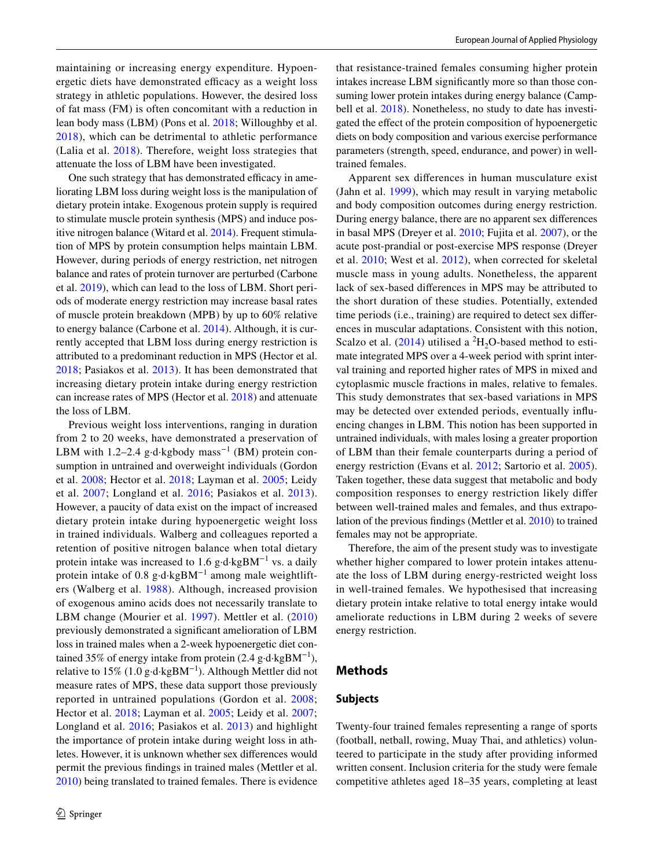maintaining or increasing energy expenditure. Hypoenergetic diets have demonstrated efficacy as a weight loss strategy in athletic populations. However, the desired loss of fat mass (FM) is often concomitant with a reduction in lean body mass (LBM) (Pons et al. [2018](#page-10-1); Willoughby et al. [2018\)](#page-10-2), which can be detrimental to athletic performance (Lalia et al. [2018](#page-9-4)). Therefore, weight loss strategies that attenuate the loss of LBM have been investigated.

One such strategy that has demonstrated efficacy in ameliorating LBM loss during weight loss is the manipulation of dietary protein intake. Exogenous protein supply is required to stimulate muscle protein synthesis (MPS) and induce positive nitrogen balance (Witard et al. [2014\)](#page-10-3). Frequent stimulation of MPS by protein consumption helps maintain LBM. However, during periods of energy restriction, net nitrogen balance and rates of protein turnover are perturbed (Carbone et al. [2019](#page-9-5)), which can lead to the loss of LBM. Short periods of moderate energy restriction may increase basal rates of muscle protein breakdown (MPB) by up to 60% relative to energy balance (Carbone et al. [2014](#page-9-6)). Although, it is currently accepted that LBM loss during energy restriction is attributed to a predominant reduction in MPS (Hector et al. [2018](#page-9-7); Pasiakos et al. [2013](#page-10-4)). It has been demonstrated that increasing dietary protein intake during energy restriction can increase rates of MPS (Hector et al. [2018\)](#page-9-7) and attenuate the loss of LBM.

Previous weight loss interventions, ranging in duration from 2 to 20 weeks, have demonstrated a preservation of LBM with 1.2–2.4 g⋅d⋅kgbody mass<sup>-1</sup> (BM) protein consumption in untrained and overweight individuals (Gordon et al. [2008;](#page-9-8) Hector et al. [2018](#page-9-7); Layman et al. [2005;](#page-9-9) Leidy et al. [2007](#page-9-10); Longland et al. [2016;](#page-10-5) Pasiakos et al. [2013](#page-10-4)). However, a paucity of data exist on the impact of increased dietary protein intake during hypoenergetic weight loss in trained individuals. Walberg and colleagues reported a retention of positive nitrogen balance when total dietary protein intake was increased to 1.6 g⋅d⋅kgBM<sup>-1</sup> vs. a daily protein intake of 0.8 g⋅d⋅kgBM<sup>-1</sup> among male weightlifters (Walberg et al. [1988\)](#page-10-6). Although, increased provision of exogenous amino acids does not necessarily translate to LBM change (Mourier et al. [1997](#page-10-7)). Mettler et al. [\(2010\)](#page-10-8) previously demonstrated a signifcant amelioration of LBM loss in trained males when a 2-week hypoenergetic diet contained 35% of energy intake from protein (2.4 g·d·kgBM−1), relative to 15% (1.0 g⋅d⋅kgBM<sup>-1</sup>). Although Mettler did not measure rates of MPS, these data support those previously reported in untrained populations (Gordon et al. [2008](#page-9-8); Hector et al. [2018](#page-9-7); Layman et al. [2005](#page-9-9); Leidy et al. [2007](#page-9-10); Longland et al. [2016;](#page-10-5) Pasiakos et al. [2013](#page-10-4)) and highlight the importance of protein intake during weight loss in athletes. However, it is unknown whether sex diferences would permit the previous fndings in trained males (Mettler et al. [2010](#page-10-8)) being translated to trained females. There is evidence that resistance-trained females consuming higher protein intakes increase LBM signifcantly more so than those consuming lower protein intakes during energy balance (Camp-bell et al. [2018](#page-9-11)). Nonetheless, no study to date has investigated the efect of the protein composition of hypoenergetic diets on body composition and various exercise performance parameters (strength, speed, endurance, and power) in welltrained females.

Apparent sex diferences in human musculature exist (Jahn et al. [1999](#page-9-12)), which may result in varying metabolic and body composition outcomes during energy restriction. During energy balance, there are no apparent sex diferences in basal MPS (Dreyer et al. [2010](#page-9-13); Fujita et al. [2007](#page-9-14)), or the acute post-prandial or post-exercise MPS response (Dreyer et al. [2010;](#page-9-13) West et al. [2012\)](#page-10-9), when corrected for skeletal muscle mass in young adults. Nonetheless, the apparent lack of sex-based diferences in MPS may be attributed to the short duration of these studies. Potentially, extended time periods (i.e., training) are required to detect sex diferences in muscular adaptations. Consistent with this notion, Scalzo et al.  $(2014)$  $(2014)$  utilised a <sup>2</sup>H<sub>2</sub>O-based method to estimate integrated MPS over a 4-week period with sprint interval training and reported higher rates of MPS in mixed and cytoplasmic muscle fractions in males, relative to females. This study demonstrates that sex-based variations in MPS may be detected over extended periods, eventually infuencing changes in LBM. This notion has been supported in untrained individuals, with males losing a greater proportion of LBM than their female counterparts during a period of energy restriction (Evans et al. [2012;](#page-9-15) Sartorio et al. [2005](#page-10-11)). Taken together, these data suggest that metabolic and body composition responses to energy restriction likely difer between well-trained males and females, and thus extrapolation of the previous fndings (Mettler et al. [2010](#page-10-8)) to trained females may not be appropriate.

Therefore, the aim of the present study was to investigate whether higher compared to lower protein intakes attenuate the loss of LBM during energy-restricted weight loss in well-trained females. We hypothesised that increasing dietary protein intake relative to total energy intake would ameliorate reductions in LBM during 2 weeks of severe energy restriction.

#### **Methods**

#### **Subjects**

Twenty-four trained females representing a range of sports (football, netball, rowing, Muay Thai, and athletics) volunteered to participate in the study after providing informed written consent. Inclusion criteria for the study were female competitive athletes aged 18–35 years, completing at least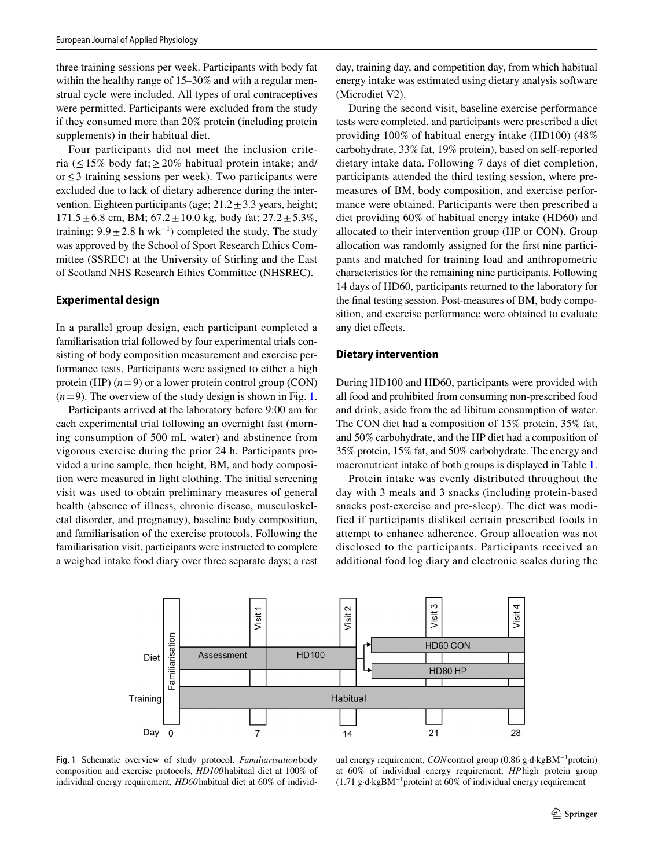three training sessions per week. Participants with body fat within the healthy range of 15–30% and with a regular menstrual cycle were included. All types of oral contraceptives were permitted. Participants were excluded from the study if they consumed more than 20% protein (including protein supplements) in their habitual diet.

Four participants did not meet the inclusion criteria ( $\leq$ 15% body fat;  $\geq$ 20% habitual protein intake; and/ or≤3 training sessions per week). Two participants were excluded due to lack of dietary adherence during the intervention. Eighteen participants (age;  $21.2 \pm 3.3$  years, height;  $171.5 \pm 6.8$  cm, BM;  $67.2 \pm 10.0$  kg, body fat;  $27.2 \pm 5.3\%$ , training;  $9.9 \pm 2.8$  h wk<sup>-1</sup>) completed the study. The study was approved by the School of Sport Research Ethics Committee (SSREC) at the University of Stirling and the East of Scotland NHS Research Ethics Committee (NHSREC).

#### **Experimental design**

In a parallel group design, each participant completed a familiarisation trial followed by four experimental trials consisting of body composition measurement and exercise performance tests. Participants were assigned to either a high protein (HP)  $(n=9)$  or a lower protein control group (CON)  $(n=9)$ . The overview of the study design is shown in Fig. [1.](#page-2-0)

Participants arrived at the laboratory before 9:00 am for each experimental trial following an overnight fast (morning consumption of 500 mL water) and abstinence from vigorous exercise during the prior 24 h. Participants provided a urine sample, then height, BM, and body composition were measured in light clothing. The initial screening visit was used to obtain preliminary measures of general health (absence of illness, chronic disease, musculoskeletal disorder, and pregnancy), baseline body composition, and familiarisation of the exercise protocols. Following the familiarisation visit, participants were instructed to complete a weighed intake food diary over three separate days; a rest day, training day, and competition day, from which habitual energy intake was estimated using dietary analysis software (Microdiet V2).

During the second visit, baseline exercise performance tests were completed, and participants were prescribed a diet providing 100% of habitual energy intake (HD100) (48% carbohydrate, 33% fat, 19% protein), based on self-reported dietary intake data. Following 7 days of diet completion, participants attended the third testing session, where premeasures of BM, body composition, and exercise performance were obtained. Participants were then prescribed a diet providing 60% of habitual energy intake (HD60) and allocated to their intervention group (HP or CON). Group allocation was randomly assigned for the frst nine participants and matched for training load and anthropometric characteristics for the remaining nine participants. Following 14 days of HD60, participants returned to the laboratory for the fnal testing session. Post-measures of BM, body composition, and exercise performance were obtained to evaluate any diet efects.

#### **Dietary intervention**

During HD100 and HD60, participants were provided with all food and prohibited from consuming non-prescribed food and drink, aside from the ad libitum consumption of water. The CON diet had a composition of 15% protein, 35% fat, and 50% carbohydrate, and the HP diet had a composition of 35% protein, 15% fat, and 50% carbohydrate. The energy and macronutrient intake of both groups is displayed in Table [1.](#page-3-0)

Protein intake was evenly distributed throughout the day with 3 meals and 3 snacks (including protein-based snacks post-exercise and pre-sleep). The diet was modified if participants disliked certain prescribed foods in attempt to enhance adherence. Group allocation was not disclosed to the participants. Participants received an additional food log diary and electronic scales during the



<span id="page-2-0"></span>**Fig. 1** Schematic overview of study protocol. *Familiarisation* body composition and exercise protocols, *HD100* habitual diet at 100% of individual energy requirement, *HD60*habitual diet at 60% of individ-

ual energy requirement, *CON*control group (0.86 g·d·kgBM−1protein) at 60% of individual energy requirement, *HP*high protein group (1.71 g⋅d⋅kgBM<sup>-1</sup>protein) at 60% of individual energy requirement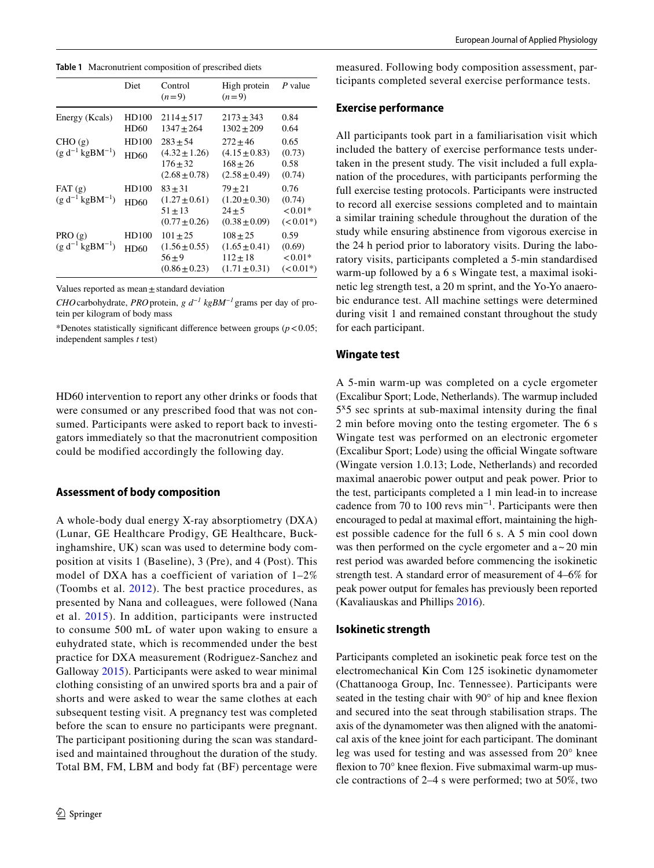<span id="page-3-0"></span>**Table 1** Macronutrient composition of prescribed diets

|                                  | Diet          | Control<br>$(n=9)$                                                 | High protein<br>$(n=9)$                                            | P value                                     |
|----------------------------------|---------------|--------------------------------------------------------------------|--------------------------------------------------------------------|---------------------------------------------|
| Energy (Keals)                   | HD100<br>HD60 | $2114 \pm 517$<br>$1347 + 264$                                     | $2173 \pm 343$<br>$1302 + 209$                                     | 0.84<br>0.64                                |
| CHO(g)<br>$(g d^{-1} kgBM^{-1})$ | HD100<br>HD60 | $283 + 54$<br>$(4.32 \pm 1.26)$<br>$176 + 32$<br>$(2.68 \pm 0.78)$ | $272 + 46$<br>$(4.15 \pm 0.83)$<br>$168 + 26$<br>$(2.58 \pm 0.49)$ | 0.65<br>(0.73)<br>0.58<br>(0.74)            |
| FAT(g)<br>$(g d^{-1} kgBM^{-1})$ | HD100<br>HD60 | $83 + 31$<br>$(1.27 \pm 0.61)$<br>$51 + 13$<br>$(0.77 \pm 0.26)$   | $79 + 21$<br>$(1.20 \pm 0.30)$<br>$24 + 5$<br>$(0.38 \pm 0.09)$    | 0.76<br>(0.74)<br>${<}0.01*$<br>$(< 0.01*)$ |
| PRO(g)<br>$(g d^{-1} kgBM^{-1})$ | HD100<br>HD60 | $101 + 25$<br>$(1.56 \pm 0.55)$<br>$56 + 9$<br>$(0.86 \pm 0.23)$   | $108 + 25$<br>$(1.65 \pm 0.41)$<br>$112 + 18$<br>$(1.71 \pm 0.31)$ | 0.59<br>(0.69)<br>${<}0.01*$<br>$(< 0.01*)$ |

Values reported as mean $\pm$ standard deviation

*CHO*carbohydrate, *PRO*protein, *g d−1 kgBM−1* grams per day of protein per kilogram of body mass

\*Denotes statistically significant difference between groups  $(p < 0.05)$ ; independent samples *t* test)

HD60 intervention to report any other drinks or foods that were consumed or any prescribed food that was not consumed. Participants were asked to report back to investigators immediately so that the macronutrient composition could be modified accordingly the following day.

#### **Assessment of body composition**

A whole-body dual energy X-ray absorptiometry (DXA) (Lunar, GE Healthcare Prodigy, GE Healthcare, Buckinghamshire, UK) scan was used to determine body composition at visits 1 (Baseline), 3 (Pre), and 4 (Post). This model of DXA has a coefficient of variation of 1–2% (Toombs et al. [2012\)](#page-10-12). The best practice procedures, as presented by Nana and colleagues, were followed (Nana et al. [2015](#page-10-13)). In addition, participants were instructed to consume 500 mL of water upon waking to ensure a euhydrated state, which is recommended under the best practice for DXA measurement (Rodriguez-Sanchez and Galloway [2015\)](#page-10-14). Participants were asked to wear minimal clothing consisting of an unwired sports bra and a pair of shorts and were asked to wear the same clothes at each subsequent testing visit. A pregnancy test was completed before the scan to ensure no participants were pregnant. The participant positioning during the scan was standardised and maintained throughout the duration of the study. Total BM, FM, LBM and body fat (BF) percentage were

measured. Following body composition assessment, participants completed several exercise performance tests.

### **Exercise performance**

All participants took part in a familiarisation visit which included the battery of exercise performance tests undertaken in the present study. The visit included a full explanation of the procedures, with participants performing the full exercise testing protocols. Participants were instructed to record all exercise sessions completed and to maintain a similar training schedule throughout the duration of the study while ensuring abstinence from vigorous exercise in the 24 h period prior to laboratory visits. During the laboratory visits, participants completed a 5-min standardised warm-up followed by a 6 s Wingate test, a maximal isokinetic leg strength test, a 20 m sprint, and the Yo-Yo anaerobic endurance test. All machine settings were determined during visit 1 and remained constant throughout the study for each participant.

## **Wingate test**

A 5-min warm-up was completed on a cycle ergometer (Excalibur Sport; Lode, Netherlands). The warmup included 5ˣ5 sec sprints at sub-maximal intensity during the fnal 2 min before moving onto the testing ergometer. The 6 s Wingate test was performed on an electronic ergometer (Excalibur Sport; Lode) using the official Wingate software (Wingate version 1.0.13; Lode, Netherlands) and recorded maximal anaerobic power output and peak power. Prior to the test, participants completed a 1 min lead-in to increase cadence from 70 to 100 revs min−1. Participants were then encouraged to pedal at maximal effort, maintaining the highest possible cadence for the full 6 s. A 5 min cool down was then performed on the cycle ergometer and  $a \sim 20$  min rest period was awarded before commencing the isokinetic strength test. A standard error of measurement of 4–6% for peak power output for females has previously been reported (Kavaliauskas and Phillips [2016\)](#page-9-16).

#### **Isokinetic strength**

Participants completed an isokinetic peak force test on the electromechanical Kin Com 125 isokinetic dynamometer (Chattanooga Group, Inc. Tennessee). Participants were seated in the testing chair with 90° of hip and knee fexion and secured into the seat through stabilisation straps. The axis of the dynamometer was then aligned with the anatomical axis of the knee joint for each participant. The dominant leg was used for testing and was assessed from 20° knee flexion to 70° knee flexion. Five submaximal warm-up muscle contractions of 2–4 s were performed; two at 50%, two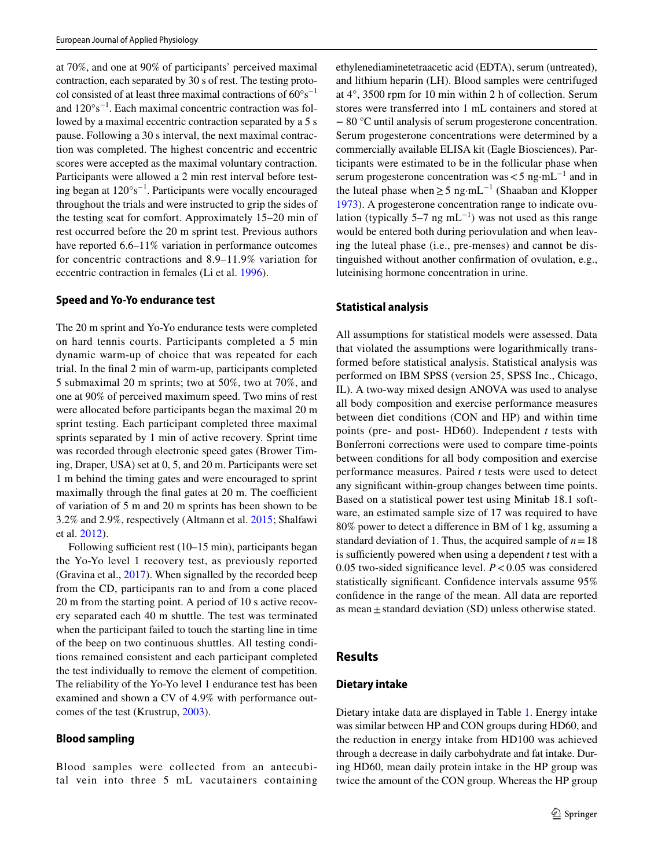at 70%, and one at 90% of participants' perceived maximal contraction, each separated by 30 s of rest. The testing protocol consisted of at least three maximal contractions of 60°s−1 and 120°s−1. Each maximal concentric contraction was followed by a maximal eccentric contraction separated by a 5 s pause. Following a 30 s interval, the next maximal contraction was completed. The highest concentric and eccentric scores were accepted as the maximal voluntary contraction. Participants were allowed a 2 min rest interval before testing began at 120°s−1. Participants were vocally encouraged throughout the trials and were instructed to grip the sides of the testing seat for comfort. Approximately 15–20 min of rest occurred before the 20 m sprint test. Previous authors have reported 6.6–11% variation in performance outcomes for concentric contractions and 8.9–11.9% variation for eccentric contraction in females (Li et al. [1996\)](#page-9-17).

#### **Speed and Yo‑Yo endurance test**

The 20 m sprint and Yo-Yo endurance tests were completed on hard tennis courts. Participants completed a 5 min dynamic warm-up of choice that was repeated for each trial. In the fnal 2 min of warm-up, participants completed 5 submaximal 20 m sprints; two at 50%, two at 70%, and one at 90% of perceived maximum speed. Two mins of rest were allocated before participants began the maximal 20 m sprint testing. Each participant completed three maximal sprints separated by 1 min of active recovery. Sprint time was recorded through electronic speed gates (Brower Timing, Draper, USA) set at 0, 5, and 20 m. Participants were set 1 m behind the timing gates and were encouraged to sprint maximally through the final gates at 20 m. The coefficient of variation of 5 m and 20 m sprints has been shown to be 3.2% and 2.9%, respectively (Altmann et al. [2015;](#page-9-18) Shalfawi et al. [2012](#page-10-15)).

Following sufficient rest  $(10-15 \text{ min})$ , participants began the Yo-Yo level 1 recovery test, as previously reported (Gravina et al., [2017\)](#page-9-19). When signalled by the recorded beep from the CD, participants ran to and from a cone placed 20 m from the starting point. A period of 10 s active recovery separated each 40 m shuttle. The test was terminated when the participant failed to touch the starting line in time of the beep on two continuous shuttles. All testing conditions remained consistent and each participant completed the test individually to remove the element of competition. The reliability of the Yo-Yo level 1 endurance test has been examined and shown a CV of 4.9% with performance outcomes of the test (Krustrup, [2003](#page-9-20)).

#### **Blood sampling**

Blood samples were collected from an antecubital vein into three 5 mL vacutainers containing ethylenediaminetetraacetic acid (EDTA), serum (untreated), and lithium heparin (LH). Blood samples were centrifuged at 4°, 3500 rpm for 10 min within 2 h of collection. Serum stores were transferred into 1 mL containers and stored at − 80 °C until analysis of serum progesterone concentration. Serum progesterone concentrations were determined by a commercially available ELISA kit (Eagle Biosciences). Participants were estimated to be in the follicular phase when serum progesterone concentration was  $<$  5 ng·mL<sup>-1</sup> and in the luteal phase when  $\geq$  5 ng·mL<sup>-1</sup> (Shaaban and Klopper [1973](#page-10-16)). A progesterone concentration range to indicate ovulation (typically 5–7 ng mL<sup>-1</sup>) was not used as this range would be entered both during periovulation and when leaving the luteal phase (i.e., pre-menses) and cannot be distinguished without another confrmation of ovulation, e.g., luteinising hormone concentration in urine.

#### **Statistical analysis**

All assumptions for statistical models were assessed. Data that violated the assumptions were logarithmically transformed before statistical analysis. Statistical analysis was performed on IBM SPSS (version 25, SPSS Inc., Chicago, IL). A two-way mixed design ANOVA was used to analyse all body composition and exercise performance measures between diet conditions (CON and HP) and within time points (pre- and post- HD60). Independent *t* tests with Bonferroni corrections were used to compare time-points between conditions for all body composition and exercise performance measures. Paired *t* tests were used to detect any signifcant within-group changes between time points. Based on a statistical power test using Minitab 18.1 software, an estimated sample size of 17 was required to have 80% power to detect a diference in BM of 1 kg, assuming a standard deviation of 1. Thus, the acquired sample of  $n = 18$ is sufficiently powered when using a dependent  $t$  test with a 0.05 two-sided signifcance level. *P*<0.05 was considered statistically significant. Confidence intervals assume  $95\%$ confdence in the range of the mean. All data are reported as mean  $\pm$  standard deviation (SD) unless otherwise stated.

#### **Results**

#### **Dietary intake**

Dietary intake data are displayed in Table [1.](#page-3-0) Energy intake was similar between HP and CON groups during HD60, and the reduction in energy intake from HD100 was achieved through a decrease in daily carbohydrate and fat intake. During HD60, mean daily protein intake in the HP group was twice the amount of the CON group. Whereas the HP group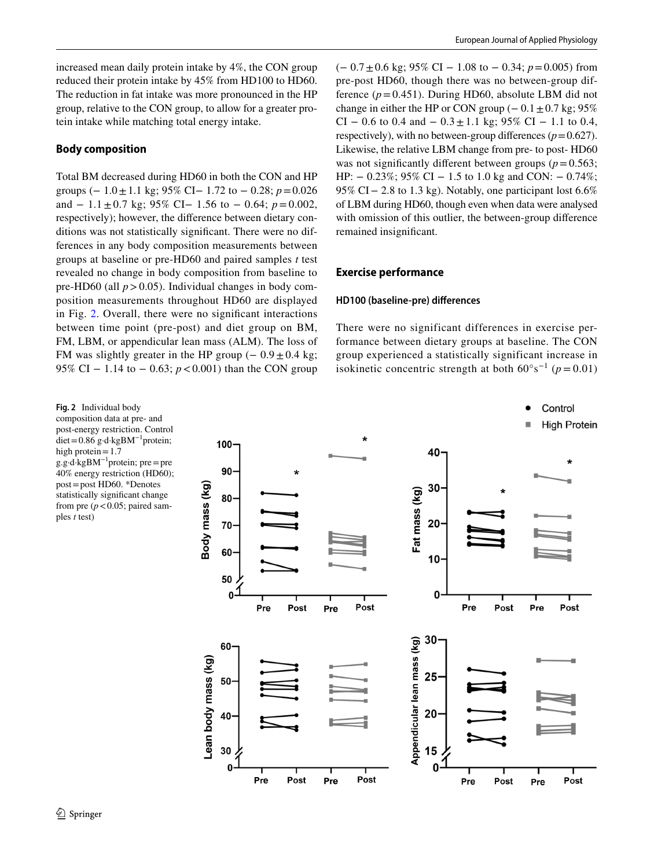increased mean daily protein intake by 4%, the CON group reduced their protein intake by 45% from HD100 to HD60. The reduction in fat intake was more pronounced in the HP group, relative to the CON group, to allow for a greater protein intake while matching total energy intake.

## **Body composition**

Total BM decreased during HD60 in both the CON and HP groups (− 1.0±1.1 kg; 95% CI− 1.72 to − 0.28; *p*=0.026 and − 1.1±0.7 kg; 95% CI− 1.56 to − 0.64; *p*=0.002, respectively); however, the diference between dietary conditions was not statistically signifcant. There were no differences in any body composition measurements between groups at baseline or pre-HD60 and paired samples *t* test revealed no change in body composition from baseline to pre-HD60 (all  $p > 0.05$ ). Individual changes in body composition measurements throughout HD60 are displayed in Fig. [2.](#page-5-0) Overall, there were no signifcant interactions between time point (pre-post) and diet group on BM, FM, LBM, or appendicular lean mass (ALM). The loss of FM was slightly greater in the HP group  $(-0.9 \pm 0.4 \text{ kg})$ ; 95% CI − 1.14 to − 0.63; *p* < 0.001) than the CON group

<span id="page-5-0"></span>**Fig. 2** Individual body composition data at pre- and post-energy restriction. Control diet=0.86 g·d·kgBM−1protein; high protein $=1.7$ g.g·d·kgBM−1protein; pre=pre 40% energy restriction (HD60); post=post HD60. \*Denotes statistically signifcant change from pre  $(p < 0.05$ ; paired samples *t* test)

(− 0.7±0.6 kg; 95% CI − 1.08 to − 0.34; *p*=0.005) from pre-post HD60, though there was no between-group difference  $(p=0.451)$ . During HD60, absolute LBM did not change in either the HP or CON group  $(-0.1 \pm 0.7 \text{ kg}; 95\%)$ CI – 0.6 to 0.4 and –  $0.3 \pm 1.1$  kg; 95% CI – 1.1 to 0.4, respectively), with no between-group differences  $(p=0.627)$ . Likewise, the relative LBM change from pre- to post- HD60 was not significantly different between groups ( $p=0.563$ ; HP:  $- 0.23\%$ ; 95% CI  $- 1.5$  to 1.0 kg and CON:  $- 0.74\%$ ; 95% CI – 2.8 to 1.3 kg). Notably, one participant lost 6.6% of LBM during HD60, though even when data were analysed with omission of this outlier, the between-group diference remained insignifcant.

#### **Exercise performance**

#### **HD100 (baseline‑pre) diferences**

There were no significant differences in exercise performance between dietary groups at baseline. The CON group experienced a statistically significant increase in isokinetic concentric strength at both  $60^{\circ} s^{-1}$  ( $p = 0.01$ )

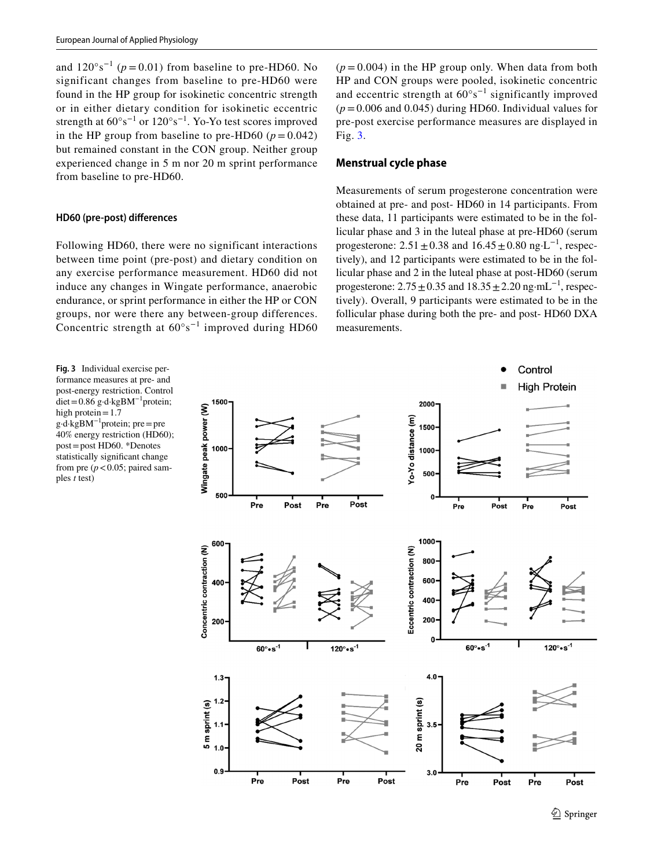and  $120^{\circ}$ s<sup>-1</sup> ( $p = 0.01$ ) from baseline to pre-HD60. No significant changes from baseline to pre-HD60 were found in the HP group for isokinetic concentric strength or in either dietary condition for isokinetic eccentric strength at  $60^{\circ} s^{-1}$  or  $120^{\circ} s^{-1}$ . Yo-Yo test scores improved in the HP group from baseline to pre-HD60 ( $p = 0.042$ ) but remained constant in the CON group. Neither group experienced change in 5 m nor 20 m sprint performance from baseline to pre-HD60.

#### **HD60 (pre‑post) diferences**

Following HD60, there were no significant interactions between time point (pre-post) and dietary condition on any exercise performance measurement. HD60 did not induce any changes in Wingate performance, anaerobic endurance, or sprint performance in either the HP or CON groups, nor were there any between-group differences. Concentric strength at  $60^{\circ} s^{-1}$  improved during HD60

<span id="page-6-0"></span>**Fig. 3** Individual exercise performance measures at pre- and post-energy restriction. Control diet=0.86 g·d·kgBM−1protein; high protein=1.7 g·d·kgBM−1protein; pre=pre 40% energy restriction (HD60); post=post HD60. \*Denotes statistically signifcant change from pre  $(p < 0.05$ ; paired samples *t* test)

 $(p=0.004)$  in the HP group only. When data from both HP and CON groups were pooled, isokinetic concentric and eccentric strength at 60°s−1 significantly improved  $(p=0.006$  and 0.045) during HD60. Individual values for pre-post exercise performance measures are displayed in Fig. [3.](#page-6-0)

## **Menstrual cycle phase**

Measurements of serum progesterone concentration were obtained at pre- and post- HD60 in 14 participants. From these data, 11 participants were estimated to be in the follicular phase and 3 in the luteal phase at pre-HD60 (serum progesterone:  $2.51 \pm 0.38$  and  $16.45 \pm 0.80$  ng⋅L<sup>-1</sup>, respectively), and 12 participants were estimated to be in the follicular phase and 2 in the luteal phase at post-HD60 (serum progesterone:  $2.75 \pm 0.35$  and  $18.35 \pm 2.20$  ng·mL<sup>-1</sup>, respectively). Overall, 9 participants were estimated to be in the follicular phase during both the pre- and post- HD60 DXA measurements.

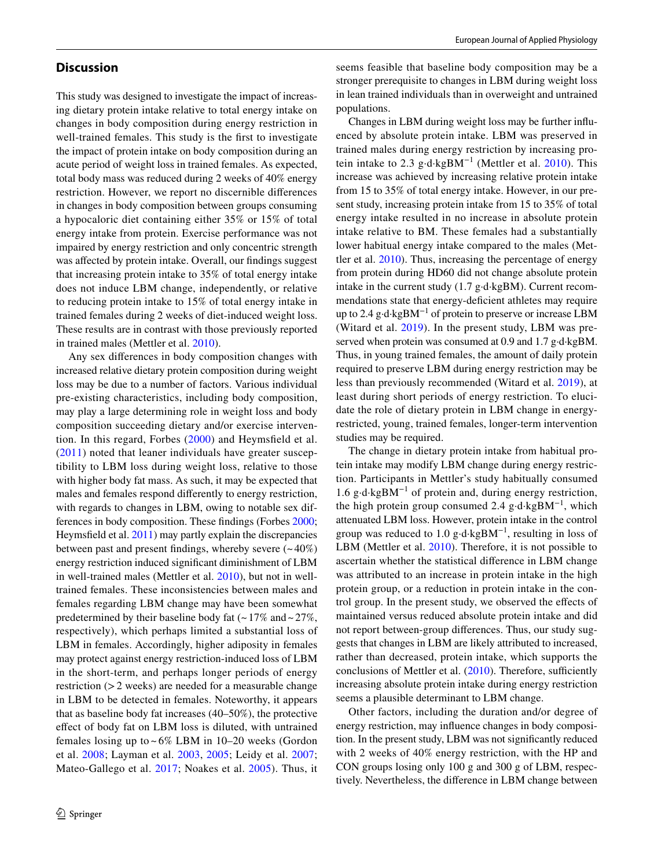## **Discussion**

This study was designed to investigate the impact of increasing dietary protein intake relative to total energy intake on changes in body composition during energy restriction in well-trained females. This study is the frst to investigate the impact of protein intake on body composition during an acute period of weight loss in trained females. As expected, total body mass was reduced during 2 weeks of 40% energy restriction. However, we report no discernible diferences in changes in body composition between groups consuming a hypocaloric diet containing either 35% or 15% of total energy intake from protein. Exercise performance was not impaired by energy restriction and only concentric strength was afected by protein intake. Overall, our fndings suggest that increasing protein intake to 35% of total energy intake does not induce LBM change, independently, or relative to reducing protein intake to 15% of total energy intake in trained females during 2 weeks of diet-induced weight loss. These results are in contrast with those previously reported in trained males (Mettler et al. [2010\)](#page-10-8).

Any sex diferences in body composition changes with increased relative dietary protein composition during weight loss may be due to a number of factors. Various individual pre-existing characteristics, including body composition, may play a large determining role in weight loss and body composition succeeding dietary and/or exercise intervention. In this regard, Forbes [\(2000](#page-9-21)) and Heymsfeld et al. ([2011](#page-9-22)) noted that leaner individuals have greater susceptibility to LBM loss during weight loss, relative to those with higher body fat mass. As such, it may be expected that males and females respond diferently to energy restriction, with regards to changes in LBM, owing to notable sex differences in body composition. These fndings (Forbes [2000](#page-9-21); Heymsfeld et al. [2011\)](#page-9-22) may partly explain the discrepancies between past and present findings, whereby severe  $(-40\%)$ energy restriction induced signifcant diminishment of LBM in well-trained males (Mettler et al. [2010](#page-10-8)), but not in welltrained females. These inconsistencies between males and females regarding LBM change may have been somewhat predetermined by their baseline body fat  $(-17\% \text{ and } -27\%$ , respectively), which perhaps limited a substantial loss of LBM in females. Accordingly, higher adiposity in females may protect against energy restriction-induced loss of LBM in the short-term, and perhaps longer periods of energy restriction (>2 weeks) are needed for a measurable change in LBM to be detected in females. Noteworthy, it appears that as baseline body fat increases (40–50%), the protective efect of body fat on LBM loss is diluted, with untrained females losing up to  $\sim 6\%$  LBM in 10–20 weeks (Gordon et al. [2008](#page-9-8); Layman et al. [2003](#page-9-23), [2005;](#page-9-9) Leidy et al. [2007](#page-9-10); Mateo-Gallego et al. [2017](#page-10-17); Noakes et al. [2005](#page-10-18)). Thus, it

seems feasible that baseline body composition may be a stronger prerequisite to changes in LBM during weight loss in lean trained individuals than in overweight and untrained populations.

Changes in LBM during weight loss may be further infuenced by absolute protein intake. LBM was preserved in trained males during energy restriction by increasing pro-tein intake to 2.3 g⋅d⋅kgBM<sup>-1</sup> (Mettler et al. [2010\)](#page-10-8). This increase was achieved by increasing relative protein intake from 15 to 35% of total energy intake. However, in our present study, increasing protein intake from 15 to 35% of total energy intake resulted in no increase in absolute protein intake relative to BM. These females had a substantially lower habitual energy intake compared to the males (Mettler et al. [2010](#page-10-8)). Thus, increasing the percentage of energy from protein during HD60 did not change absolute protein intake in the current study (1.7 g·d·kgBM). Current recommendations state that energy-deficient athletes may require up to 2.4 g·d·kgBM−1 of protein to preserve or increase LBM (Witard et al. [2019\)](#page-10-19). In the present study, LBM was preserved when protein was consumed at 0.9 and 1.7 g·d·kgBM. Thus, in young trained females, the amount of daily protein required to preserve LBM during energy restriction may be less than previously recommended (Witard et al. [2019](#page-10-19)), at least during short periods of energy restriction. To elucidate the role of dietary protein in LBM change in energyrestricted, young, trained females, longer-term intervention studies may be required.

The change in dietary protein intake from habitual protein intake may modify LBM change during energy restriction. Participants in Mettler's study habitually consumed 1.6 g·d·kgBM−1 of protein and, during energy restriction, the high protein group consumed 2.4 g·d·kgBM−1, which attenuated LBM loss. However, protein intake in the control group was reduced to 1.0 g⋅d⋅kgBM<sup>-1</sup>, resulting in loss of LBM (Mettler et al. [2010\)](#page-10-8). Therefore, it is not possible to ascertain whether the statistical diference in LBM change was attributed to an increase in protein intake in the high protein group, or a reduction in protein intake in the control group. In the present study, we observed the efects of maintained versus reduced absolute protein intake and did not report between-group diferences. Thus, our study suggests that changes in LBM are likely attributed to increased, rather than decreased, protein intake, which supports the conclusions of Mettler et al.  $(2010)$  $(2010)$  $(2010)$ . Therefore, sufficiently increasing absolute protein intake during energy restriction seems a plausible determinant to LBM change.

Other factors, including the duration and/or degree of energy restriction, may infuence changes in body composition. In the present study, LBM was not signifcantly reduced with 2 weeks of 40% energy restriction, with the HP and CON groups losing only 100 g and 300 g of LBM, respectively. Nevertheless, the diference in LBM change between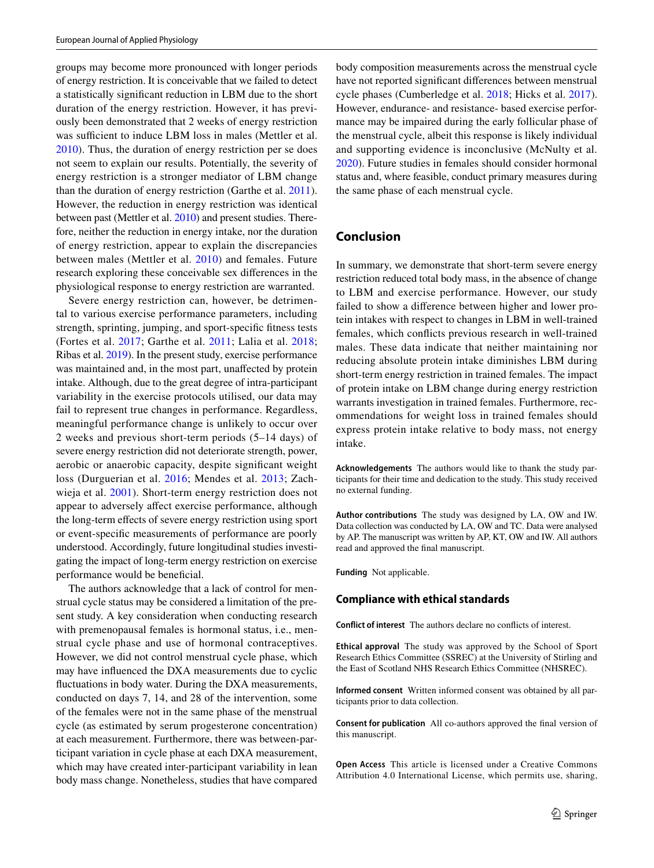groups may become more pronounced with longer periods of energy restriction. It is conceivable that we failed to detect a statistically signifcant reduction in LBM due to the short duration of the energy restriction. However, it has previously been demonstrated that 2 weeks of energy restriction was sufficient to induce LBM loss in males (Mettler et al. [2010](#page-10-8)). Thus, the duration of energy restriction per se does not seem to explain our results. Potentially, the severity of energy restriction is a stronger mediator of LBM change than the duration of energy restriction (Garthe et al. [2011](#page-9-24)). However, the reduction in energy restriction was identical between past (Mettler et al. [2010\)](#page-10-8) and present studies. Therefore, neither the reduction in energy intake, nor the duration of energy restriction, appear to explain the discrepancies between males (Mettler et al. [2010\)](#page-10-8) and females. Future research exploring these conceivable sex diferences in the physiological response to energy restriction are warranted.

Severe energy restriction can, however, be detrimental to various exercise performance parameters, including strength, sprinting, jumping, and sport-specifc ftness tests (Fortes et al. [2017;](#page-9-25) Garthe et al. [2011](#page-9-24); Lalia et al. [2018](#page-9-4); Ribas et al. [2019](#page-10-20)). In the present study, exercise performance was maintained and, in the most part, unafected by protein intake. Although, due to the great degree of intra-participant variability in the exercise protocols utilised, our data may fail to represent true changes in performance. Regardless, meaningful performance change is unlikely to occur over 2 weeks and previous short-term periods (5–14 days) of severe energy restriction did not deteriorate strength, power, aerobic or anaerobic capacity, despite signifcant weight loss (Durguerian et al. [2016;](#page-9-26) Mendes et al. [2013;](#page-10-21) Zachwieja et al. [2001\)](#page-10-22). Short-term energy restriction does not appear to adversely afect exercise performance, although the long-term efects of severe energy restriction using sport or event-specifc measurements of performance are poorly understood. Accordingly, future longitudinal studies investigating the impact of long-term energy restriction on exercise performance would be beneficial.

The authors acknowledge that a lack of control for menstrual cycle status may be considered a limitation of the present study. A key consideration when conducting research with premenopausal females is hormonal status, i.e., menstrual cycle phase and use of hormonal contraceptives. However, we did not control menstrual cycle phase, which may have infuenced the DXA measurements due to cyclic fuctuations in body water. During the DXA measurements, conducted on days 7, 14, and 28 of the intervention, some of the females were not in the same phase of the menstrual cycle (as estimated by serum progesterone concentration) at each measurement. Furthermore, there was between-participant variation in cycle phase at each DXA measurement, which may have created inter-participant variability in lean body mass change. Nonetheless, studies that have compared body composition measurements across the menstrual cycle have not reported signifcant diferences between menstrual cycle phases (Cumberledge et al. [2018](#page-9-27); Hicks et al. [2017](#page-9-28)). However, endurance- and resistance- based exercise performance may be impaired during the early follicular phase of the menstrual cycle, albeit this response is likely individual and supporting evidence is inconclusive (McNulty et al. [2020](#page-10-23)). Future studies in females should consider hormonal status and, where feasible, conduct primary measures during the same phase of each menstrual cycle.

## **Conclusion**

In summary, we demonstrate that short-term severe energy restriction reduced total body mass, in the absence of change to LBM and exercise performance. However, our study failed to show a diference between higher and lower protein intakes with respect to changes in LBM in well-trained females, which conficts previous research in well-trained males. These data indicate that neither maintaining nor reducing absolute protein intake diminishes LBM during short-term energy restriction in trained females. The impact of protein intake on LBM change during energy restriction warrants investigation in trained females. Furthermore, recommendations for weight loss in trained females should express protein intake relative to body mass, not energy intake.

**Acknowledgements** The authors would like to thank the study participants for their time and dedication to the study. This study received no external funding.

**Author contributions** The study was designed by LA, OW and IW. Data collection was conducted by LA, OW and TC. Data were analysed by AP. The manuscript was written by AP, KT, OW and IW. All authors read and approved the fnal manuscript.

**Funding** Not applicable.

#### **Compliance with ethical standards**

**Conflict of interest** The authors declare no conficts of interest.

**Ethical approval** The study was approved by the School of Sport Research Ethics Committee (SSREC) at the University of Stirling and the East of Scotland NHS Research Ethics Committee (NHSREC).

**Informed consent** Written informed consent was obtained by all participants prior to data collection.

**Consent for publication** All co-authors approved the fnal version of this manuscript.

**Open Access** This article is licensed under a Creative Commons Attribution 4.0 International License, which permits use, sharing,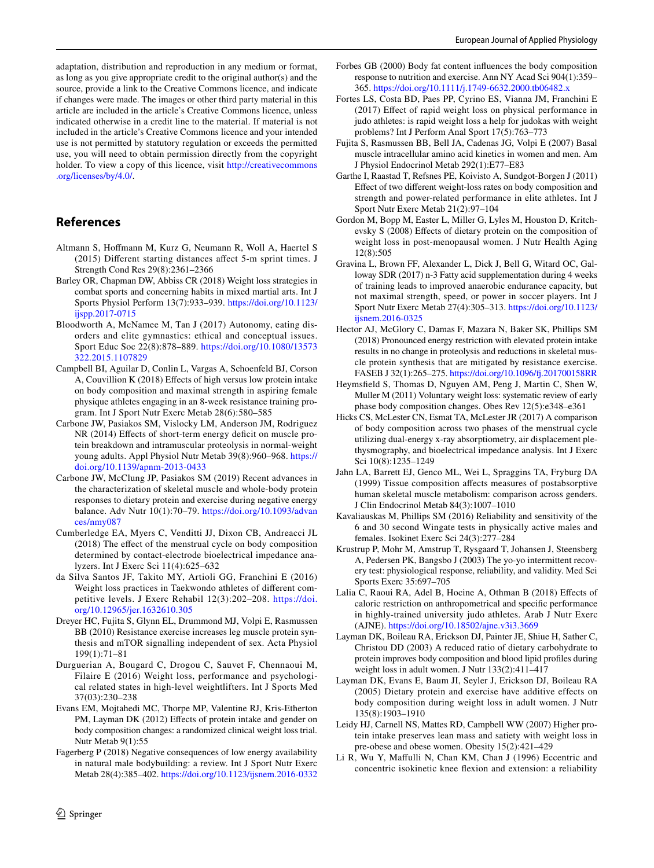adaptation, distribution and reproduction in any medium or format, as long as you give appropriate credit to the original author(s) and the source, provide a link to the Creative Commons licence, and indicate if changes were made. The images or other third party material in this article are included in the article's Creative Commons licence, unless indicated otherwise in a credit line to the material. If material is not included in the article's Creative Commons licence and your intended use is not permitted by statutory regulation or exceeds the permitted use, you will need to obtain permission directly from the copyright holder. To view a copy of this licence, visit [http://creativecommons](http://creativecommons.org/licenses/by/4.0/) [.org/licenses/by/4.0/.](http://creativecommons.org/licenses/by/4.0/)

## **References**

- <span id="page-9-18"></span>Altmann S, Hofmann M, Kurz G, Neumann R, Woll A, Haertel S (2015) Diferent starting distances afect 5-m sprint times. J Strength Cond Res 29(8):2361–2366
- <span id="page-9-0"></span>Barley OR, Chapman DW, Abbiss CR (2018) Weight loss strategies in combat sports and concerning habits in mixed martial arts. Int J Sports Physiol Perform 13(7):933–939. [https://doi.org/10.1123/](https://doi.org/10.1123/ijspp.2017-0715) [ijspp.2017-0715](https://doi.org/10.1123/ijspp.2017-0715)
- <span id="page-9-2"></span>Bloodworth A, McNamee M, Tan J (2017) Autonomy, eating disorders and elite gymnastics: ethical and conceptual issues. Sport Educ Soc 22(8):878–889. [https://doi.org/10.1080/13573](https://doi.org/10.1080/13573322.2015.1107829) [322.2015.1107829](https://doi.org/10.1080/13573322.2015.1107829)
- <span id="page-9-11"></span>Campbell BI, Aguilar D, Conlin L, Vargas A, Schoenfeld BJ, Corson A, Couvillion K (2018) Efects of high versus low protein intake on body composition and maximal strength in aspiring female physique athletes engaging in an 8-week resistance training program. Int J Sport Nutr Exerc Metab 28(6):580–585
- <span id="page-9-6"></span>Carbone JW, Pasiakos SM, Vislocky LM, Anderson JM, Rodriguez NR (2014) Effects of short-term energy deficit on muscle protein breakdown and intramuscular proteolysis in normal-weight young adults. Appl Physiol Nutr Metab 39(8):960–968. [https://](https://doi.org/10.1139/apnm-2013-0433) [doi.org/10.1139/apnm-2013-0433](https://doi.org/10.1139/apnm-2013-0433)
- <span id="page-9-5"></span>Carbone JW, McClung JP, Pasiakos SM (2019) Recent advances in the characterization of skeletal muscle and whole-body protein responses to dietary protein and exercise during negative energy balance. Adv Nutr 10(1):70–79. [https://doi.org/10.1093/advan](https://doi.org/10.1093/advances/nmy087) [ces/nmy087](https://doi.org/10.1093/advances/nmy087)
- <span id="page-9-27"></span>Cumberledge EA, Myers C, Venditti JJ, Dixon CB, Andreacci JL (2018) The efect of the menstrual cycle on body composition determined by contact-electrode bioelectrical impedance analyzers. Int J Exerc Sci 11(4):625–632
- <span id="page-9-1"></span>da Silva Santos JF, Takito MY, Artioli GG, Franchini E (2016) Weight loss practices in Taekwondo athletes of diferent competitive levels. J Exerc Rehabil 12(3):202–208. [https://doi.](https://doi.org/10.12965/jer.1632610.305) [org/10.12965/jer.1632610.305](https://doi.org/10.12965/jer.1632610.305)
- <span id="page-9-13"></span>Dreyer HC, Fujita S, Glynn EL, Drummond MJ, Volpi E, Rasmussen BB (2010) Resistance exercise increases leg muscle protein synthesis and mTOR signalling independent of sex. Acta Physiol 199(1):71–81
- <span id="page-9-26"></span>Durguerian A, Bougard C, Drogou C, Sauvet F, Chennaoui M, Filaire E (2016) Weight loss, performance and psychological related states in high-level weightlifters. Int J Sports Med 37(03):230–238
- <span id="page-9-15"></span>Evans EM, Mojtahedi MC, Thorpe MP, Valentine RJ, Kris-Etherton PM, Layman DK (2012) Effects of protein intake and gender on body composition changes: a randomized clinical weight loss trial. Nutr Metab 9(1):55
- <span id="page-9-3"></span>Fagerberg P (2018) Negative consequences of low energy availability in natural male bodybuilding: a review. Int J Sport Nutr Exerc Metab 28(4):385–402. <https://doi.org/10.1123/ijsnem.2016-0332>
- <span id="page-9-21"></span>Forbes GB (2000) Body fat content infuences the body composition response to nutrition and exercise. Ann NY Acad Sci 904(1):359– 365.<https://doi.org/10.1111/j.1749-6632.2000.tb06482.x>
- <span id="page-9-25"></span>Fortes LS, Costa BD, Paes PP, Cyrino ES, Vianna JM, Franchini E (2017) Efect of rapid weight loss on physical performance in judo athletes: is rapid weight loss a help for judokas with weight problems? Int J Perform Anal Sport 17(5):763–773
- <span id="page-9-14"></span>Fujita S, Rasmussen BB, Bell JA, Cadenas JG, Volpi E (2007) Basal muscle intracellular amino acid kinetics in women and men. Am J Physiol Endocrinol Metab 292(1):E77–E83
- <span id="page-9-24"></span>Garthe I, Raastad T, Refsnes PE, Koivisto A, Sundgot-Borgen J (2011) Efect of two diferent weight-loss rates on body composition and strength and power-related performance in elite athletes. Int J Sport Nutr Exerc Metab 21(2):97–104
- <span id="page-9-8"></span>Gordon M, Bopp M, Easter L, Miller G, Lyles M, Houston D, Kritchevsky S (2008) Efects of dietary protein on the composition of weight loss in post-menopausal women. J Nutr Health Aging 12(8):505
- <span id="page-9-19"></span>Gravina L, Brown FF, Alexander L, Dick J, Bell G, Witard OC, Galloway SDR (2017) n-3 Fatty acid supplementation during 4 weeks of training leads to improved anaerobic endurance capacity, but not maximal strength, speed, or power in soccer players. Int J Sport Nutr Exerc Metab 27(4):305–313. [https://doi.org/10.1123/](https://doi.org/10.1123/ijsnem.2016-0325) [ijsnem.2016-0325](https://doi.org/10.1123/ijsnem.2016-0325)
- <span id="page-9-7"></span>Hector AJ, McGlory C, Damas F, Mazara N, Baker SK, Phillips SM (2018) Pronounced energy restriction with elevated protein intake results in no change in proteolysis and reductions in skeletal muscle protein synthesis that are mitigated by resistance exercise. FASEB J 32(1):265–275. [https://doi.org/10.1096/f.201700158RR](https://doi.org/10.1096/fj.201700158RR)
- <span id="page-9-22"></span>Heymsfeld S, Thomas D, Nguyen AM, Peng J, Martin C, Shen W, Muller M (2011) Voluntary weight loss: systematic review of early phase body composition changes. Obes Rev 12(5):e348–e361
- <span id="page-9-28"></span>Hicks CS, McLester CN, Esmat TA, McLester JR (2017) A comparison of body composition across two phases of the menstrual cycle utilizing dual-energy x-ray absorptiometry, air displacement plethysmography, and bioelectrical impedance analysis. Int J Exerc Sci 10(8):1235–1249
- <span id="page-9-12"></span>Jahn LA, Barrett EJ, Genco ML, Wei L, Spraggins TA, Fryburg DA (1999) Tissue composition afects measures of postabsorptive human skeletal muscle metabolism: comparison across genders. J Clin Endocrinol Metab 84(3):1007–1010
- <span id="page-9-16"></span>Kavaliauskas M, Phillips SM (2016) Reliability and sensitivity of the 6 and 30 second Wingate tests in physically active males and females. Isokinet Exerc Sci 24(3):277–284
- <span id="page-9-20"></span>Krustrup P, Mohr M, Amstrup T, Rysgaard T, Johansen J, Steensberg A, Pedersen PK, Bangsbo J (2003) The yo-yo intermittent recovery test: physiological response, reliability, and validity. Med Sci Sports Exerc 35:697–705
- <span id="page-9-4"></span>Lalia C, Raoui RA, Adel B, Hocine A, Othman B (2018) Efects of caloric restriction on anthropometrical and specifc performance in highly-trained university judo athletes. Arab J Nutr Exerc (AJNE).<https://doi.org/10.18502/ajne.v3i3.3669>
- <span id="page-9-23"></span>Layman DK, Boileau RA, Erickson DJ, Painter JE, Shiue H, Sather C, Christou DD (2003) A reduced ratio of dietary carbohydrate to protein improves body composition and blood lipid profles during weight loss in adult women. J Nutr 133(2):411–417
- <span id="page-9-9"></span>Layman DK, Evans E, Baum JI, Seyler J, Erickson DJ, Boileau RA (2005) Dietary protein and exercise have additive effects on body composition during weight loss in adult women. J Nutr 135(8):1903–1910
- <span id="page-9-10"></span>Leidy HJ, Carnell NS, Mattes RD, Campbell WW (2007) Higher protein intake preserves lean mass and satiety with weight loss in pre-obese and obese women. Obesity 15(2):421–429
- <span id="page-9-17"></span>Li R, Wu Y, Mafulli N, Chan KM, Chan J (1996) Eccentric and concentric isokinetic knee fexion and extension: a reliability